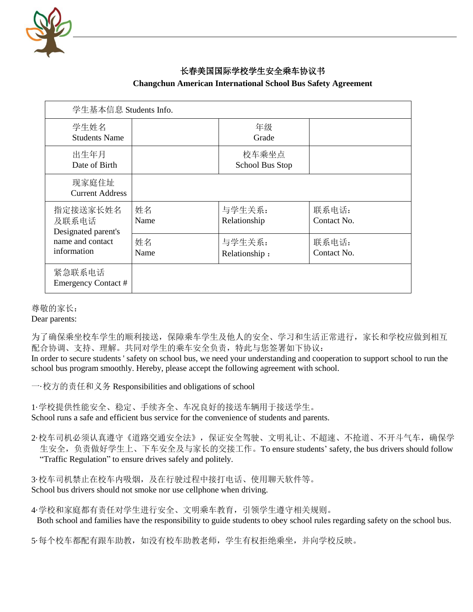

## 长春美国国际学校学生安全乘车协议书

| 学生基本信息 Students Info.                                                       |            |                          |                      |
|-----------------------------------------------------------------------------|------------|--------------------------|----------------------|
| 学生姓名<br><b>Students Name</b>                                                |            | 年级<br>Grade              |                      |
| 出生年月<br>Date of Birth                                                       |            | 校车乘坐点<br>School Bus Stop |                      |
| 现家庭住址<br><b>Current Address</b>                                             |            |                          |                      |
| 指定接送家长姓名<br>及联系电话<br>Designated parent's<br>name and contact<br>information | 姓名<br>Name | 与学生关系:<br>Relationship   | 联系电话:<br>Contact No. |
|                                                                             | 姓名<br>Name | 与学生关系:<br>Relationship:  | 联系电话:<br>Contact No. |
| 紧急联系电话<br>Emergency Contact #                                               |            |                          |                      |

## **Changchun American International School Bus Safety Agreement**

尊敬的家长:

Dear parents:

为了确保乘坐校车学生的顺利接送,保障乘车学生及他人的安全、学习和生活正常进行,家长和学校应做到相互 配合协调、支持、理解。共同对学生的乘车安全负责,特此与您签署如下协议: In order to secure students ' safety on school bus, we need your understanding and cooperation to support school to run the

school bus program smoothly. Hereby, please accept the following agreement with school.

一·校方的责任和义务 Responsibilities and obligations of school

1·学校提供性能安全、稳定、手续齐全、车况良好的接送车辆用于接送学生。 School runs a safe and efficient bus service for the convenience of students and parents.

2·校车司机必须认真遵守《道路交通安全法》,保证安全驾驶、文明礼让、不超速、不抢道、不开斗气车,确保学 生安全,负责做好学生上、下车安全及与家长的交接工作。To ensure students' safety, the bus drivers should follow "Traffic Regulation" to ensure drives safely and politely.

3.校车司机禁止在校车内吸烟,及在行驶过程中接打电话、使用聊天软件等。 School bus drivers should not smoke nor use cellphone when driving.

4·学校和家庭都有责任对学生进行安全、文明乘车教育,引领学生遵守相关规则。 Both school and families have the responsibility to guide students to obey school rules regarding safety on the school bus.

5·每个校车都配有跟车助教,如没有校车助教老师,学生有权拒绝乘坐,并向学校反映。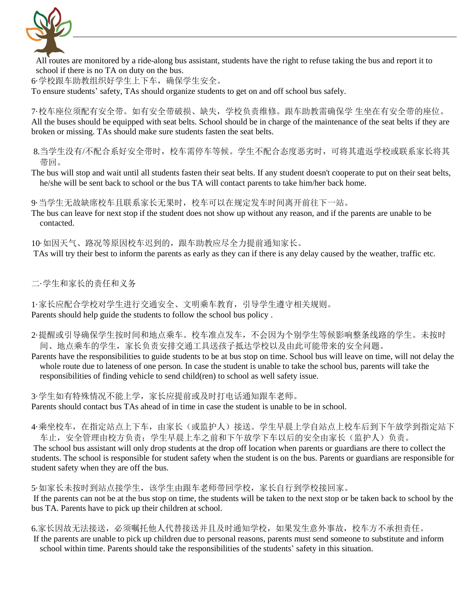

All routes are monitored by a ride-along bus assistant, students have the right to refuse taking the bus and report it to school if there is no TA on duty on the bus.

6·学校跟车助教组织好学生上下车,确保学生安全。

To ensure students' safety, TAs should organize students to get on and off school bus safely.

7·校车座位须配有安全带。如有安全带破损、缺失,学校负责维修。跟车助教需确保学 生坐在有安全带的座位。 All the buses should be equipped with seat belts. School should be in charge of the maintenance of the seat belts if they are broken or missing. TAs should make sure students fasten the seat belts.

8.当学生没有/不配合系好安全带时,校车需停车等候。学生不配合态度恶劣时,可将其遣返学校或联系家长将其 带回。

The bus will stop and wait until all students fasten their seat belts. If any student doesn't cooperate to put on their seat belts, he/she will be sent back to school or the bus TA will contact parents to take him/her back home.

9 当学生无故缺席校车且联系家长无果时,校车可以在规定发车时间离开前往下一站。

The bus can leave for next stop if the student does not show up without any reason, and if the parents are unable to be contacted.

10·如因天气、路况等原因校车迟到的,跟车助教应尽全力提前通知家长。 TAs will try their best to inform the parents as early as they can if there is any delay caused by the weather, traffic etc.

二·学生和家长的责任和义务

1·家长应配合学校对学生进行交通安全、文明乘车教育,引导学生遵守相关规则。 Parents should help guide the students to follow the school bus policy .

- 2·提醒或引导确保学生按时间和地点乘车。校车准点发车,不会因为个别学生等候影响整条线路的学生。未按时 间、地点乘车的学生,家长负责安排交通工具送孩子抵达学校以及由此可能带来的安全问题。
- Parents have the responsibilities to guide students to be at bus stop on time. School bus will leave on time, will not delay the whole route due to lateness of one person. In case the student is unable to take the school bus, parents will take the responsibilities of finding vehicle to send child(ren) to school as well safety issue.

3. 学生如有特殊情况不能上学, 家长应提前或及时打电话通知跟车老师。 Parents should contact bus TAs ahead of in time in case the student is unable to be in school.

4 乘坐校车,在指定站点上下车,由家长(或监护人)接送。学生早晨上学自站点上校车后到下午放学到指定站下 车止, 安全管理由校方负责; 学生早晨上车之前和下午放学下车以后的安全由家长(监护人)负责。

The school bus assistant will only drop students at the drop off location when parents or guardians are there to collect the students. The school is responsible for student safety when the student is on the bus. Parents or guardians are responsible for student safety when they are off the bus.

5 如家长未按时到站点接学生,该学生由跟车老师带回学校,家长自行到学校接回家。 If the parents can not be at the bus stop on time, the students will be taken to the next stop or be taken back to school by the bus TA. Parents have to pick up their children at school.

6.家长因故无法接送,必须嘱托他人代替接送并且及时通知学校,如果发生意外事故,校车方不承担责任。 If the parents are unable to pick up children due to personal reasons, parents must send someone to substitute and inform school within time. Parents should take the responsibilities of the students' safety in this situation.